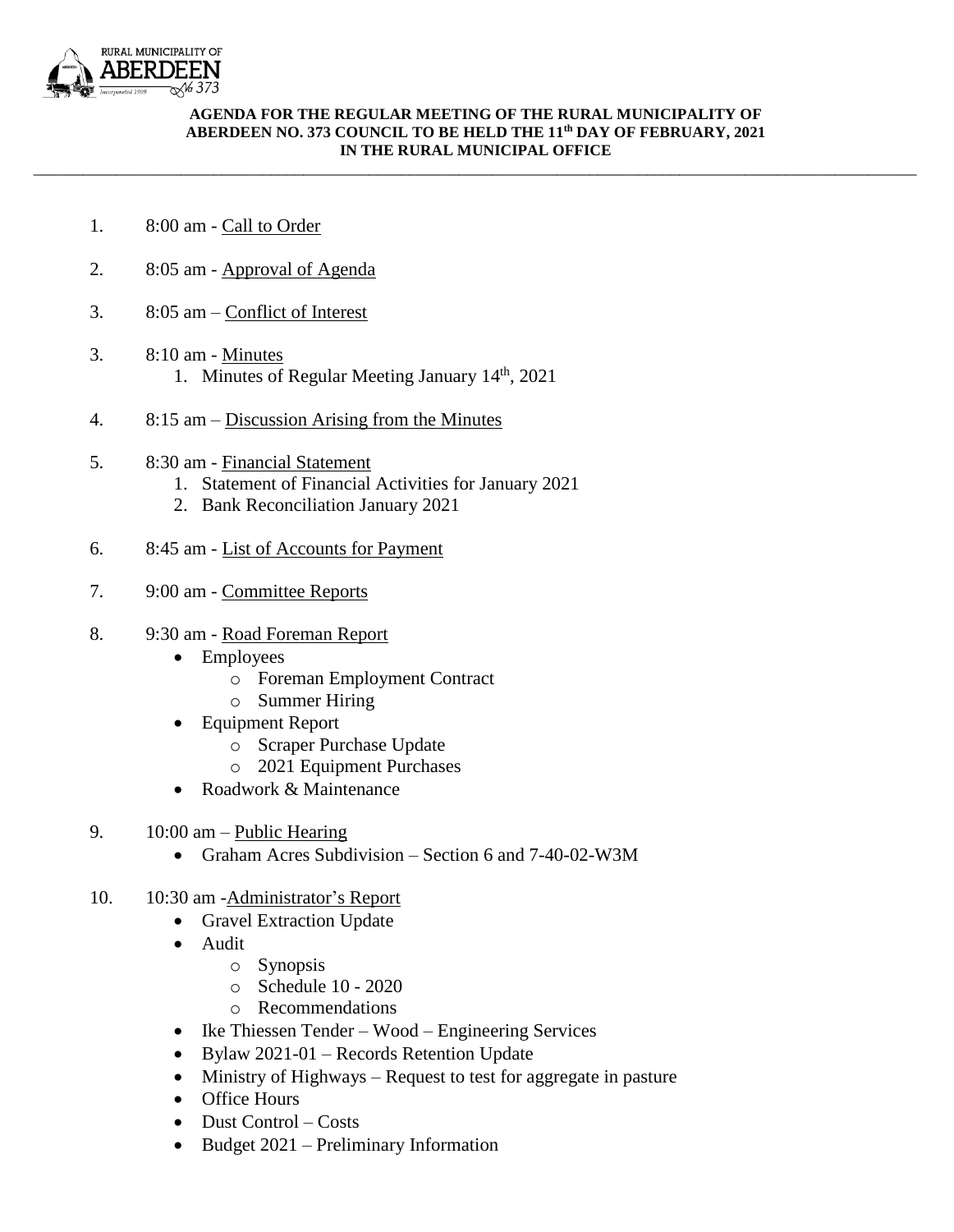

## **AGENDA FOR THE REGULAR MEETING OF THE RURAL MUNICIPALITY OF ABERDEEN NO. 373 COUNCIL TO BE HELD THE 11th DAY OF FEBRUARY, 2021 IN THE RURAL MUNICIPAL OFFICE**

\_\_\_\_\_\_\_\_\_\_\_\_\_\_\_\_\_\_\_\_\_\_\_\_\_\_\_\_\_\_\_\_\_\_\_\_\_\_\_\_\_\_\_\_\_\_\_\_\_\_\_\_\_\_\_\_\_\_\_\_\_\_\_\_\_\_\_\_\_\_\_\_\_\_\_\_\_\_\_\_\_\_\_\_\_\_\_\_\_\_\_\_\_\_\_\_\_\_\_\_\_\_\_\_\_\_\_\_

- 1. 8:00 am Call to Order
- 2. 8:05 am Approval of Agenda
- 3. 8:05 am Conflict of Interest
- 3. 8:10 am Minutes 1. Minutes of Regular Meeting January 14<sup>th</sup>, 2021
- 4. 8:15 am Discussion Arising from the Minutes
- 5. 8:30 am Financial Statement
	- 1. Statement of Financial Activities for January 2021
	- 2. Bank Reconciliation January 2021
- 6. 8:45 am List of Accounts for Payment
- 7. 9:00 am Committee Reports
- 8. 9:30 am Road Foreman Report
	- Employees
		- o Foreman Employment Contract
		- o Summer Hiring
	- Equipment Report
		- o Scraper Purchase Update
		- o 2021 Equipment Purchases
	- Roadwork & Maintenance
- 9. 10:00 am Public Hearing
	- Graham Acres Subdivision Section 6 and 7-40-02-W3M
- 10. 10:30 am -Administrator's Report
	- Gravel Extraction Update
	- Audit
		- o Synopsis
		- o Schedule 10 2020
		- o Recommendations
	- Ike Thiessen Tender Wood Engineering Services
	- Bylaw 2021-01 Records Retention Update
	- Ministry of Highways Request to test for aggregate in pasture
	- Office Hours
	- Dust Control Costs
	- Budget 2021 Preliminary Information